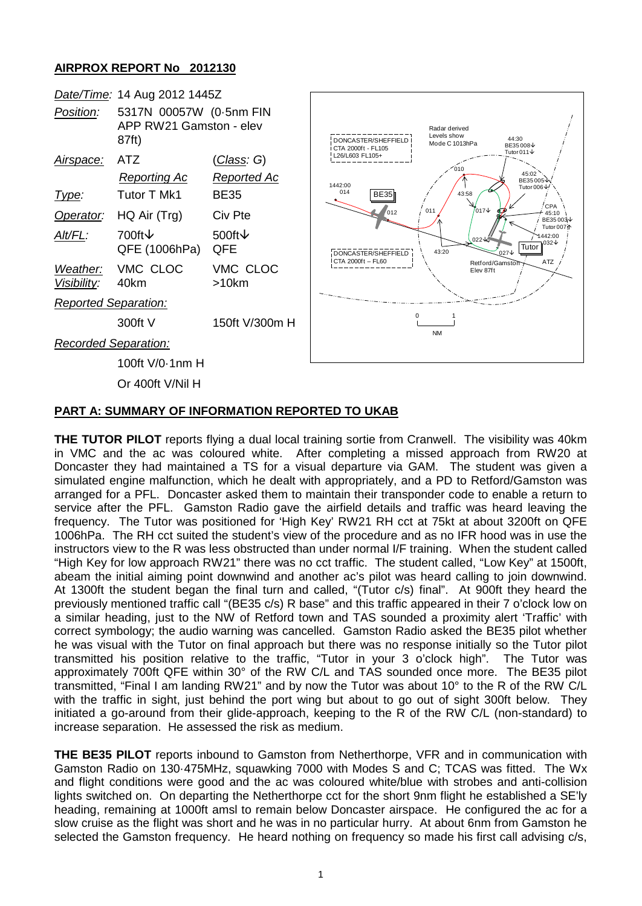## **AIRPROX REPORT No 2012130**



## **PART A: SUMMARY OF INFORMATION REPORTED TO UKAB**

**THE TUTOR PILOT** reports flying a dual local training sortie from Cranwell. The visibility was 40km in VMC and the ac was coloured white. After completing a missed approach from RW20 at Doncaster they had maintained a TS for a visual departure via GAM. The student was given a simulated engine malfunction, which he dealt with appropriately, and a PD to Retford/Gamston was arranged for a PFL. Doncaster asked them to maintain their transponder code to enable a return to service after the PFL. Gamston Radio gave the airfield details and traffic was heard leaving the frequency. The Tutor was positioned for 'High Key' RW21 RH cct at 75kt at about 3200ft on QFE 1006hPa. The RH cct suited the student's view of the procedure and as no IFR hood was in use the instructors view to the R was less obstructed than under normal I/F training. When the student called "High Key for low approach RW21" there was no cct traffic. The student called, "Low Key" at 1500ft, abeam the initial aiming point downwind and another ac's pilot was heard calling to join downwind. At 1300ft the student began the final turn and called, "(Tutor c/s) final". At 900ft they heard the previously mentioned traffic call "(BE35 c/s) R base" and this traffic appeared in their 7 o'clock low on a similar heading, just to the NW of Retford town and TAS sounded a proximity alert 'Traffic' with correct symbology; the audio warning was cancelled. Gamston Radio asked the BE35 pilot whether he was visual with the Tutor on final approach but there was no response initially so the Tutor pilot transmitted his position relative to the traffic, "Tutor in your 3 o'clock high". The Tutor was approximately 700ft QFE within 30° of the RW C/L and TAS sounded once more. The BE35 pilot transmitted, "Final I am landing RW21" and by now the Tutor was about 10° to the R of the RW C/L with the traffic in sight, just behind the port wing but about to go out of sight 300ft below. They initiated a go-around from their glide-approach, keeping to the R of the RW C/L (non-standard) to increase separation. He assessed the risk as medium.

**THE BE35 PILOT** reports inbound to Gamston from Netherthorpe, VFR and in communication with Gamston Radio on 130·475MHz, squawking 7000 with Modes S and C; TCAS was fitted. The Wx and flight conditions were good and the ac was coloured white/blue with strobes and anti-collision lights switched on. On departing the Netherthorpe cct for the short 9nm flight he established a SE'ly heading, remaining at 1000ft amsl to remain below Doncaster airspace. He configured the ac for a slow cruise as the flight was short and he was in no particular hurry. At about 6nm from Gamston he selected the Gamston frequency. He heard nothing on frequency so made his first call advising c/s,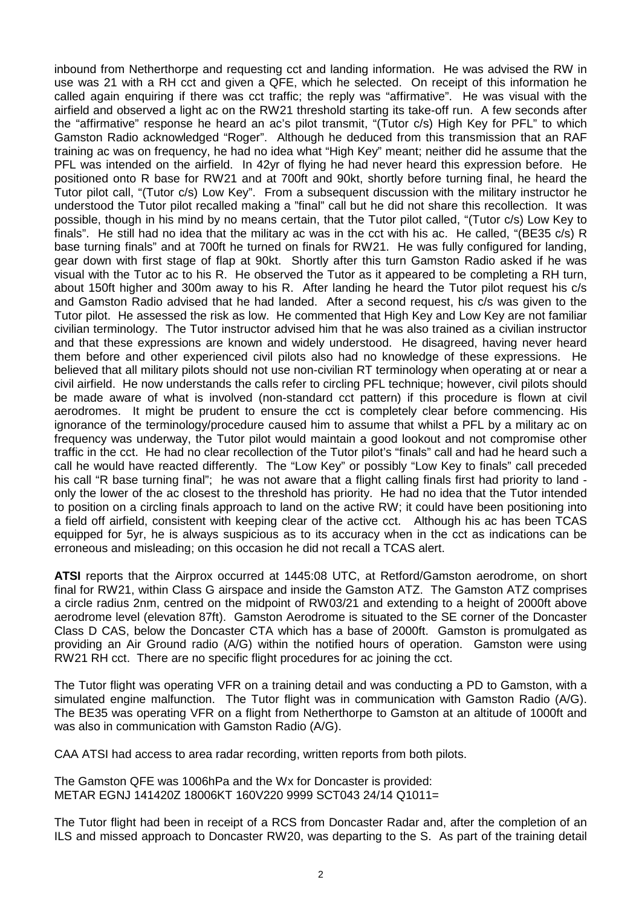inbound from Netherthorpe and requesting cct and landing information. He was advised the RW in use was 21 with a RH cct and given a QFE, which he selected. On receipt of this information he called again enquiring if there was cct traffic; the reply was "affirmative". He was visual with the airfield and observed a light ac on the RW21 threshold starting its take-off run. A few seconds after the "affirmative" response he heard an ac's pilot transmit, "(Tutor c/s) High Key for PFL" to which Gamston Radio acknowledged "Roger". Although he deduced from this transmission that an RAF training ac was on frequency, he had no idea what "High Key" meant; neither did he assume that the PFL was intended on the airfield. In 42yr of flying he had never heard this expression before. He positioned onto R base for RW21 and at 700ft and 90kt, shortly before turning final, he heard the Tutor pilot call, "(Tutor c/s) Low Key". From a subsequent discussion with the military instructor he understood the Tutor pilot recalled making a "final" call but he did not share this recollection. It was possible, though in his mind by no means certain, that the Tutor pilot called, "(Tutor c/s) Low Key to finals". He still had no idea that the military ac was in the cct with his ac. He called, "(BE35 c/s) R base turning finals" and at 700ft he turned on finals for RW21. He was fully configured for landing, gear down with first stage of flap at 90kt. Shortly after this turn Gamston Radio asked if he was visual with the Tutor ac to his R. He observed the Tutor as it appeared to be completing a RH turn, about 150ft higher and 300m away to his R. After landing he heard the Tutor pilot request his c/s and Gamston Radio advised that he had landed. After a second request, his c/s was given to the Tutor pilot. He assessed the risk as low. He commented that High Key and Low Key are not familiar civilian terminology. The Tutor instructor advised him that he was also trained as a civilian instructor and that these expressions are known and widely understood. He disagreed, having never heard them before and other experienced civil pilots also had no knowledge of these expressions. He believed that all military pilots should not use non-civilian RT terminology when operating at or near a civil airfield. He now understands the calls refer to circling PFL technique; however, civil pilots should be made aware of what is involved (non-standard cct pattern) if this procedure is flown at civil aerodromes. It might be prudent to ensure the cct is completely clear before commencing. His ignorance of the terminology/procedure caused him to assume that whilst a PFL by a military ac on frequency was underway, the Tutor pilot would maintain a good lookout and not compromise other traffic in the cct. He had no clear recollection of the Tutor pilot's "finals" call and had he heard such a call he would have reacted differently. The "Low Key" or possibly "Low Key to finals" call preceded his call "R base turning final"; he was not aware that a flight calling finals first had priority to land only the lower of the ac closest to the threshold has priority. He had no idea that the Tutor intended to position on a circling finals approach to land on the active RW; it could have been positioning into a field off airfield, consistent with keeping clear of the active cct. Although his ac has been TCAS equipped for 5yr, he is always suspicious as to its accuracy when in the cct as indications can be erroneous and misleading; on this occasion he did not recall a TCAS alert.

**ATSI** reports that the Airprox occurred at 1445:08 UTC, at Retford/Gamston aerodrome, on short final for RW21, within Class G airspace and inside the Gamston ATZ. The Gamston ATZ comprises a circle radius 2nm, centred on the midpoint of RW03/21 and extending to a height of 2000ft above aerodrome level (elevation 87ft). Gamston Aerodrome is situated to the SE corner of the Doncaster Class D CAS, below the Doncaster CTA which has a base of 2000ft. Gamston is promulgated as providing an Air Ground radio (A/G) within the notified hours of operation. Gamston were using RW21 RH cct. There are no specific flight procedures for ac joining the cct.

The Tutor flight was operating VFR on a training detail and was conducting a PD to Gamston, with a simulated engine malfunction. The Tutor flight was in communication with Gamston Radio (A/G). The BE35 was operating VFR on a flight from Netherthorpe to Gamston at an altitude of 1000ft and was also in communication with Gamston Radio (A/G).

CAA ATSI had access to area radar recording, written reports from both pilots.

The Gamston QFE was 1006hPa and the Wx for Doncaster is provided: METAR EGNJ 141420Z 18006KT 160V220 9999 SCT043 24/14 Q1011=

The Tutor flight had been in receipt of a RCS from Doncaster Radar and, after the completion of an ILS and missed approach to Doncaster RW20, was departing to the S. As part of the training detail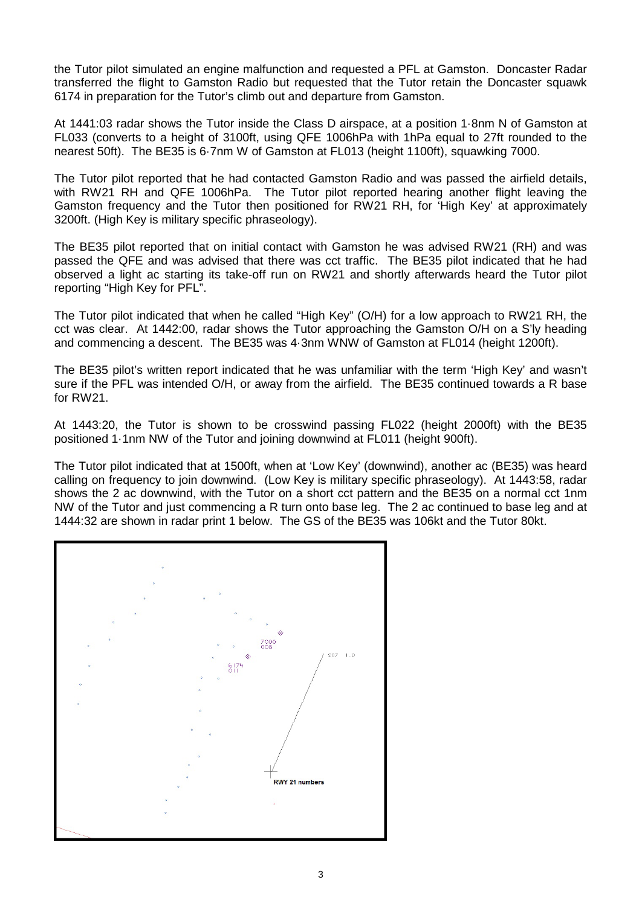the Tutor pilot simulated an engine malfunction and requested a PFL at Gamston. Doncaster Radar transferred the flight to Gamston Radio but requested that the Tutor retain the Doncaster squawk 6174 in preparation for the Tutor's climb out and departure from Gamston.

At 1441:03 radar shows the Tutor inside the Class D airspace, at a position 1·8nm N of Gamston at FL033 (converts to a height of 3100ft, using QFE 1006hPa with 1hPa equal to 27ft rounded to the nearest 50ft). The BE35 is 6·7nm W of Gamston at FL013 (height 1100ft), squawking 7000.

The Tutor pilot reported that he had contacted Gamston Radio and was passed the airfield details, with RW21 RH and QFE 1006hPa. The Tutor pilot reported hearing another flight leaving the Gamston frequency and the Tutor then positioned for RW21 RH, for 'High Key' at approximately 3200ft. (High Key is military specific phraseology).

The BE35 pilot reported that on initial contact with Gamston he was advised RW21 (RH) and was passed the QFE and was advised that there was cct traffic. The BE35 pilot indicated that he had observed a light ac starting its take-off run on RW21 and shortly afterwards heard the Tutor pilot reporting "High Key for PFL".

The Tutor pilot indicated that when he called "High Key" (O/H) for a low approach to RW21 RH, the cct was clear. At 1442:00, radar shows the Tutor approaching the Gamston O/H on a S'ly heading and commencing a descent. The BE35 was 4·3nm WNW of Gamston at FL014 (height 1200ft).

The BE35 pilot's written report indicated that he was unfamiliar with the term 'High Key' and wasn't sure if the PFL was intended O/H, or away from the airfield. The BE35 continued towards a R base for RW21.

At 1443:20, the Tutor is shown to be crosswind passing FL022 (height 2000ft) with the BE35 positioned 1·1nm NW of the Tutor and joining downwind at FL011 (height 900ft).

The Tutor pilot indicated that at 1500ft, when at 'Low Key' (downwind), another ac (BE35) was heard calling on frequency to join downwind. (Low Key is military specific phraseology). At 1443:58, radar shows the 2 ac downwind, with the Tutor on a short cct pattern and the BE35 on a normal cct 1nm NW of the Tutor and just commencing a R turn onto base leg. The 2 ac continued to base leg and at 1444:32 are shown in radar print 1 below. The GS of the BE35 was 106kt and the Tutor 80kt.

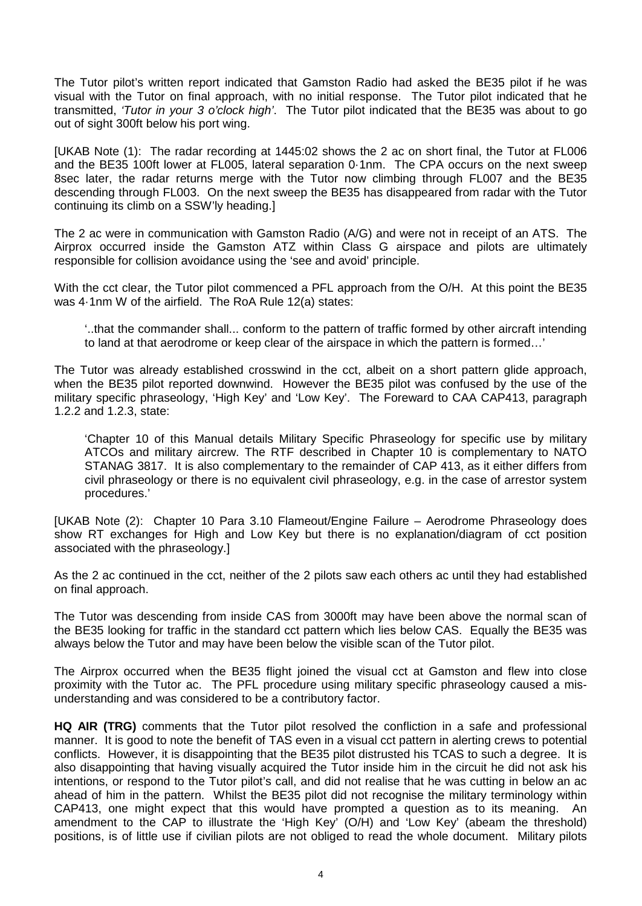The Tutor pilot's written report indicated that Gamston Radio had asked the BE35 pilot if he was visual with the Tutor on final approach, with no initial response. The Tutor pilot indicated that he transmitted, *'Tutor in your 3 o'clock high'*. The Tutor pilot indicated that the BE35 was about to go out of sight 300ft below his port wing.

[UKAB Note (1): The radar recording at 1445:02 shows the 2 ac on short final, the Tutor at FL006 and the BE35 100ft lower at FL005, lateral separation 0·1nm. The CPA occurs on the next sweep 8sec later, the radar returns merge with the Tutor now climbing through FL007 and the BE35 descending through FL003. On the next sweep the BE35 has disappeared from radar with the Tutor continuing its climb on a SSW'ly heading.]

The 2 ac were in communication with Gamston Radio (A/G) and were not in receipt of an ATS. The Airprox occurred inside the Gamston ATZ within Class G airspace and pilots are ultimately responsible for collision avoidance using the 'see and avoid' principle.

With the cct clear, the Tutor pilot commenced a PFL approach from the O/H. At this point the BE35 was 4·1nm W of the airfield. The RoA Rule 12(a) states:

'..that the commander shall... conform to the pattern of traffic formed by other aircraft intending to land at that aerodrome or keep clear of the airspace in which the pattern is formed…'

The Tutor was already established crosswind in the cct, albeit on a short pattern glide approach, when the BE35 pilot reported downwind. However the BE35 pilot was confused by the use of the military specific phraseology, 'High Key' and 'Low Key'. The Foreward to CAA CAP413, paragraph 1.2.2 and 1.2.3, state:

'Chapter 10 of this Manual details Military Specific Phraseology for specific use by military ATCOs and military aircrew. The RTF described in Chapter 10 is complementary to NATO STANAG 3817. It is also complementary to the remainder of CAP 413, as it either differs from civil phraseology or there is no equivalent civil phraseology, e.g. in the case of arrestor system procedures.'

[UKAB Note (2): Chapter 10 Para 3.10 Flameout/Engine Failure – Aerodrome Phraseology does show RT exchanges for High and Low Key but there is no explanation/diagram of cct position associated with the phraseology.]

As the 2 ac continued in the cct, neither of the 2 pilots saw each others ac until they had established on final approach.

The Tutor was descending from inside CAS from 3000ft may have been above the normal scan of the BE35 looking for traffic in the standard cct pattern which lies below CAS. Equally the BE35 was always below the Tutor and may have been below the visible scan of the Tutor pilot.

The Airprox occurred when the BE35 flight joined the visual cct at Gamston and flew into close proximity with the Tutor ac. The PFL procedure using military specific phraseology caused a misunderstanding and was considered to be a contributory factor.

**HQ AIR (TRG)** comments that the Tutor pilot resolved the confliction in a safe and professional manner. It is good to note the benefit of TAS even in a visual cct pattern in alerting crews to potential conflicts. However, it is disappointing that the BE35 pilot distrusted his TCAS to such a degree. It is also disappointing that having visually acquired the Tutor inside him in the circuit he did not ask his intentions, or respond to the Tutor pilot's call, and did not realise that he was cutting in below an ac ahead of him in the pattern. Whilst the BE35 pilot did not recognise the military terminology within CAP413, one might expect that this would have prompted a question as to its meaning. An amendment to the CAP to illustrate the 'High Key' (O/H) and 'Low Key' (abeam the threshold) positions, is of little use if civilian pilots are not obliged to read the whole document. Military pilots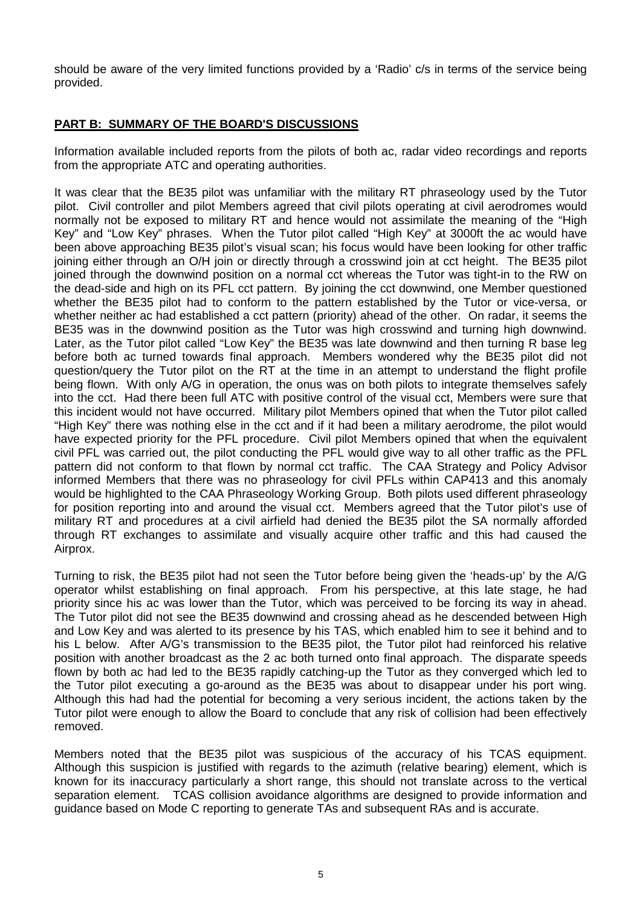should be aware of the very limited functions provided by a 'Radio' c/s in terms of the service being provided.

## **PART B: SUMMARY OF THE BOARD'S DISCUSSIONS**

Information available included reports from the pilots of both ac, radar video recordings and reports from the appropriate ATC and operating authorities.

It was clear that the BE35 pilot was unfamiliar with the military RT phraseology used by the Tutor pilot. Civil controller and pilot Members agreed that civil pilots operating at civil aerodromes would normally not be exposed to military RT and hence would not assimilate the meaning of the "High Key" and "Low Key" phrases. When the Tutor pilot called "High Key" at 3000ft the ac would have been above approaching BE35 pilot's visual scan; his focus would have been looking for other traffic joining either through an O/H join or directly through a crosswind join at cct height. The BE35 pilot joined through the downwind position on a normal cct whereas the Tutor was tight-in to the RW on the dead-side and high on its PFL cct pattern. By joining the cct downwind, one Member questioned whether the BE35 pilot had to conform to the pattern established by the Tutor or vice-versa, or whether neither ac had established a cct pattern (priority) ahead of the other. On radar, it seems the BE35 was in the downwind position as the Tutor was high crosswind and turning high downwind. Later, as the Tutor pilot called "Low Key" the BE35 was late downwind and then turning R base leg before both ac turned towards final approach. Members wondered why the BE35 pilot did not question/query the Tutor pilot on the RT at the time in an attempt to understand the flight profile being flown. With only A/G in operation, the onus was on both pilots to integrate themselves safely into the cct. Had there been full ATC with positive control of the visual cct, Members were sure that this incident would not have occurred. Military pilot Members opined that when the Tutor pilot called "High Key" there was nothing else in the cct and if it had been a military aerodrome, the pilot would have expected priority for the PFL procedure. Civil pilot Members opined that when the equivalent civil PFL was carried out, the pilot conducting the PFL would give way to all other traffic as the PFL pattern did not conform to that flown by normal cct traffic. The CAA Strategy and Policy Advisor informed Members that there was no phraseology for civil PFLs within CAP413 and this anomaly would be highlighted to the CAA Phraseology Working Group. Both pilots used different phraseology for position reporting into and around the visual cct. Members agreed that the Tutor pilot's use of military RT and procedures at a civil airfield had denied the BE35 pilot the SA normally afforded through RT exchanges to assimilate and visually acquire other traffic and this had caused the Airprox.

Turning to risk, the BE35 pilot had not seen the Tutor before being given the 'heads-up' by the A/G operator whilst establishing on final approach. From his perspective, at this late stage, he had priority since his ac was lower than the Tutor, which was perceived to be forcing its way in ahead. The Tutor pilot did not see the BE35 downwind and crossing ahead as he descended between High and Low Key and was alerted to its presence by his TAS, which enabled him to see it behind and to his L below. After A/G's transmission to the BE35 pilot, the Tutor pilot had reinforced his relative position with another broadcast as the 2 ac both turned onto final approach. The disparate speeds flown by both ac had led to the BE35 rapidly catching-up the Tutor as they converged which led to the Tutor pilot executing a go-around as the BE35 was about to disappear under his port wing. Although this had had the potential for becoming a very serious incident, the actions taken by the Tutor pilot were enough to allow the Board to conclude that any risk of collision had been effectively removed.

Members noted that the BE35 pilot was suspicious of the accuracy of his TCAS equipment. Although this suspicion is justified with regards to the azimuth (relative bearing) element, which is known for its inaccuracy particularly a short range, this should not translate across to the vertical separation element. TCAS collision avoidance algorithms are designed to provide information and guidance based on Mode C reporting to generate TAs and subsequent RAs and is accurate.